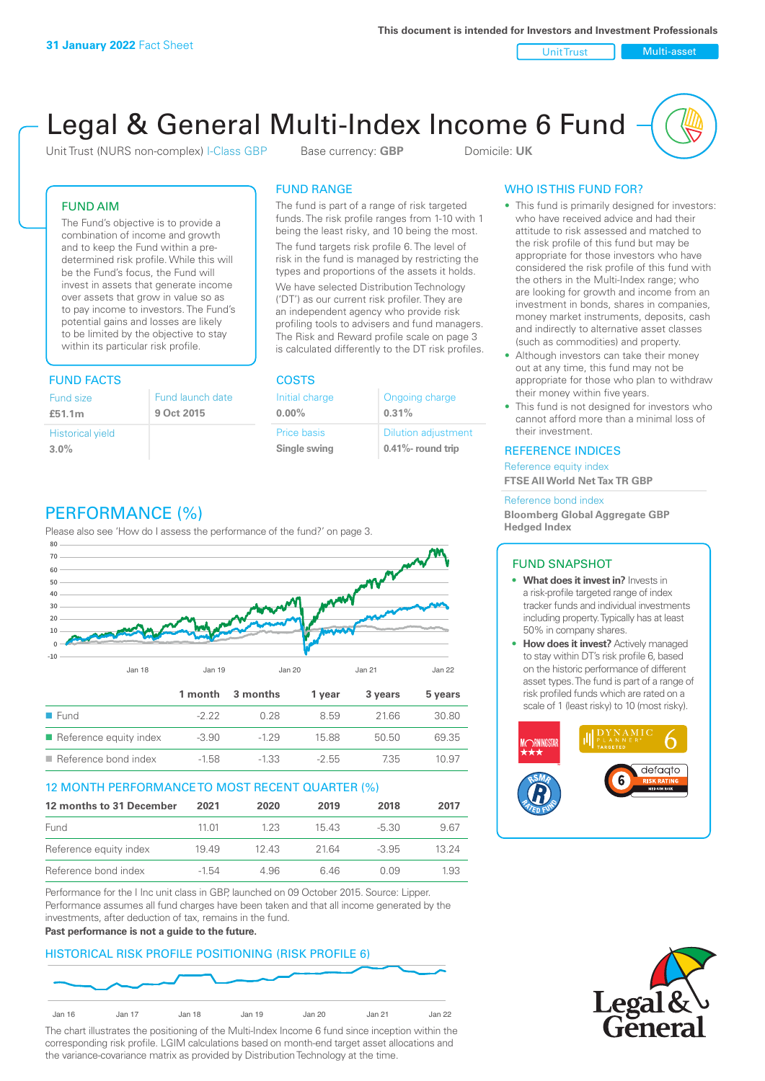Unit Trust Nulti-asset

# Legal & General Multi-Index Income 6 Fund

Unit Trust (NURS non-complex) I-Class GBP Base currency: **GBP** Domicile: UK

### FUND AIM

The Fund's objective is to provide a combination of income and growth and to keep the Fund within a predetermined risk profile. While this will be the Fund's focus, the Fund will invest in assets that generate income over assets that grow in value so as to pay income to investors. The Fund's potential gains and losses are likely to be limited by the objective to stay within its particular risk profile.

### FUND FACTS COSTS

| Fund size<br>£51.1m     | Fund launch date<br>9 Oct 2015 |
|-------------------------|--------------------------------|
| <b>Historical yield</b> |                                |
| $3.0\%$                 |                                |

### FUND RANGE

The fund is part of a range of risk targeted funds. The risk profile ranges from 1-10 with 1 being the least risky, and 10 being the most.

The fund targets risk profile 6. The level of risk in the fund is managed by restricting the types and proportions of the assets it holds. We have selected Distribution Technology ('DT') as our current risk profiler. They are an independent agency who provide risk profiling tools to advisers and fund managers. The Risk and Reward profile scale on page 3 is calculated differently to the DT risk profiles.

**0.00%**

| Initial charge | Ongoing charge             |
|----------------|----------------------------|
| $0.00\%$       | 0.31%                      |
| Price basis    | <b>Dilution adjustment</b> |
| Single swing   | 0.41%- round trip          |

### WHO IS THIS FUND FOR?

- This fund is primarily designed for investors: who have received advice and had their attitude to risk assessed and matched to the risk profile of this fund but may be appropriate for those investors who have considered the risk profile of this fund with the others in the Multi-Index range; who are looking for growth and income from an investment in bonds, shares in companies, money market instruments, deposits, cash and indirectly to alternative asset classes (such as commodities) and property.
- Although investors can take their money out at any time, this fund may not be appropriate for those who plan to withdraw their money within five years.
- This fund is not designed for investors who cannot afford more than a minimal loss of their investment.

### REFERENCE INDICES

Reference equity index **FTSE All World Net Tax TR GBP**

#### Reference bond index

**Bloomberg Global Aggregate GBP Hedged Index**

### FUND SNAPSHOT

- **• What does it invest in?** Invests in a risk-profile targeted range of index tracker funds and individual investments including property. Typically has at least 50% in company shares.
- **• How does it invest?** Actively managed to stay within DT's risk profile 6, based on the historic performance of different asset types. The fund is part of a range of risk profiled funds which are rated on a scale of 1 (least risky) to 10 (most risky).





### PERFORMANCE (%)

Please also see 'How do I assess the performance of the fund?' on page 3.



### 12 MONTH PERFORMANCE TO MOST RECENT QUARTER (%)

| 12 months to 31 December | 2021  | 2020  | 2019 | 2018    | 2017  |
|--------------------------|-------|-------|------|---------|-------|
| Fund                     | 11 01 | 1 2 3 | 1543 | -5.30   | 9.67  |
| Reference equity index   | 1949  | 1243  | 2164 | $-3.95$ | 13 24 |
| Reference bond index     | -1.54 | 4.96  | 646  | O 0.9   | 1.93  |

Performance for the I Inc unit class in GBP, launched on 09 October 2015. Source: Lipper. Performance assumes all fund charges have been taken and that all income generated by the investments, after deduction of tax, remains in the fund.

#### **Past performance is not a guide to the future.**

### HISTORICAL RISK PROFILE POSITIONING (RISK PROFILE 6)



The chart illustrates the positioning of the Multi-Index Income 6 fund since inception within the corresponding risk profile. LGIM calculations based on month-end target asset allocations and the variance-covariance matrix as provided by Distribution Technology at the time.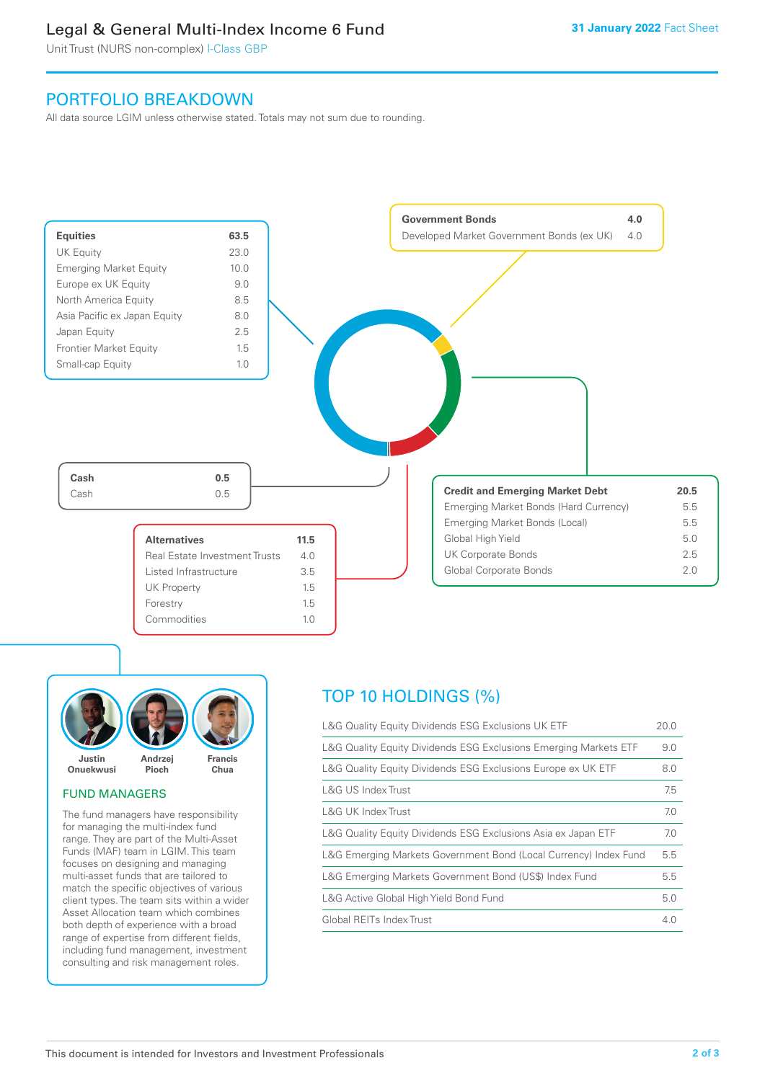### Legal & General Multi-Index Income 6 Fund

Unit Trust (NURS non-complex) I-Class GBP

### PORTFOLIO BREAKDOWN

All data source LGIM unless otherwise stated. Totals may not sum due to rounding.





### FUND MANAGERS

The fund managers have responsibility for managing the multi-index fund range. They are part of the Multi-Asset Funds (MAF) team in LGIM. This team focuses on designing and managing multi-asset funds that are tailored to match the specific objectives of various client types. The team sits within a wider Asset Allocation team which combines both depth of experience with a broad range of expertise from different fields, including fund management, investment consulting and risk management roles.

## TOP 10 HOLDINGS (%)

| L&G Quality Equity Dividends ESG Exclusions UK ETF               | 20.0 |
|------------------------------------------------------------------|------|
| L&G Quality Equity Dividends ESG Exclusions Emerging Markets ETF | 9.0  |
| L&G Quality Equity Dividends ESG Exclusions Europe ex UK ETF     | 8.0  |
| L&G US Index Trust                                               | 7.5  |
| L&G UK Index Trust                                               | 7.0  |
| L&G Quality Equity Dividends ESG Exclusions Asia ex Japan ETF    | 7.0  |
| L&G Emerging Markets Government Bond (Local Currency) Index Fund | 5.5  |
| L&G Emerging Markets Government Bond (US\$) Index Fund           | 5.5  |
| L&G Active Global High Yield Bond Fund                           | 5.0  |
| Global REITs Index Trust                                         | 4.0  |